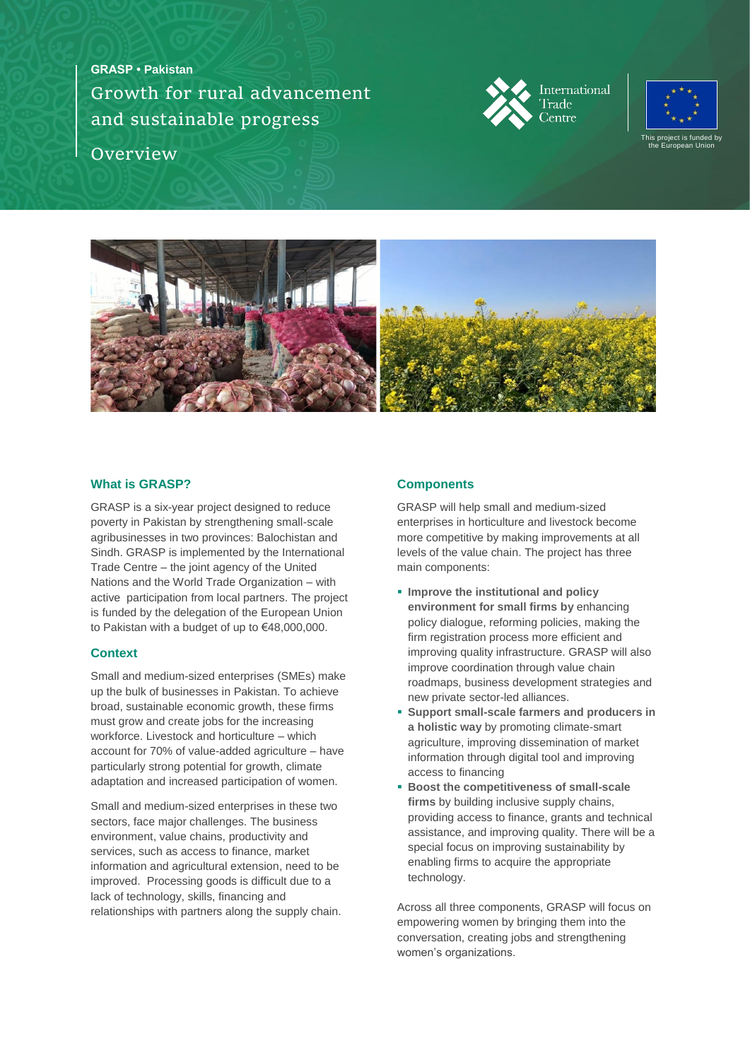**GRASP • Pakistan** Growth for rural advancement and sustainable progress **Overview** 







### **What is GRASP?**

GRASP is a six-year project designed to reduce poverty in Pakistan by strengthening small-scale agribusinesses in two provinces: Balochistan and Sindh. GRASP is implemented by the International Trade Centre – the joint agency of the United Nations and the World Trade Organization – with active participation from local partners. The project is funded by the delegation of the European Union to Pakistan with a budget of up to €48,000,000.

### **Context**

Small and medium-sized enterprises (SMEs) make up the bulk of businesses in Pakistan. To achieve broad, sustainable economic growth, these firms must grow and create jobs for the increasing workforce. Livestock and horticulture – which account for 70% of value-added agriculture – have particularly strong potential for growth, climate adaptation and increased participation of women.

Small and medium-sized enterprises in these two sectors, face major challenges. The business environment, value chains, productivity and services, such as access to finance, market information and agricultural extension, need to be improved. Processing goods is difficult due to a lack of technology, skills, financing and relationships with partners along the supply chain.

### **Components**

GRASP will help small and medium-sized enterprises in horticulture and livestock become more competitive by making improvements at all levels of the value chain. The project has three main components:

- **Improve the institutional and policy environment for small firms by** enhancing policy dialogue, reforming policies, making the firm registration process more efficient and improving quality infrastructure. GRASP will also improve coordination through value chain roadmaps, business development strategies and new private sector-led alliances.
- **Support small-scale farmers and producers in a holistic way** by promoting climate-smart agriculture, improving dissemination of market information through digital tool and improving access to financing
- **Boost the competitiveness of small-scale firms** by building inclusive supply chains, providing access to finance, grants and technical assistance, and improving quality. There will be a special focus on improving sustainability by enabling firms to acquire the appropriate technology.

Across all three components, GRASP will focus on empowering women by bringing them into the conversation, creating jobs and strengthening women's organizations.